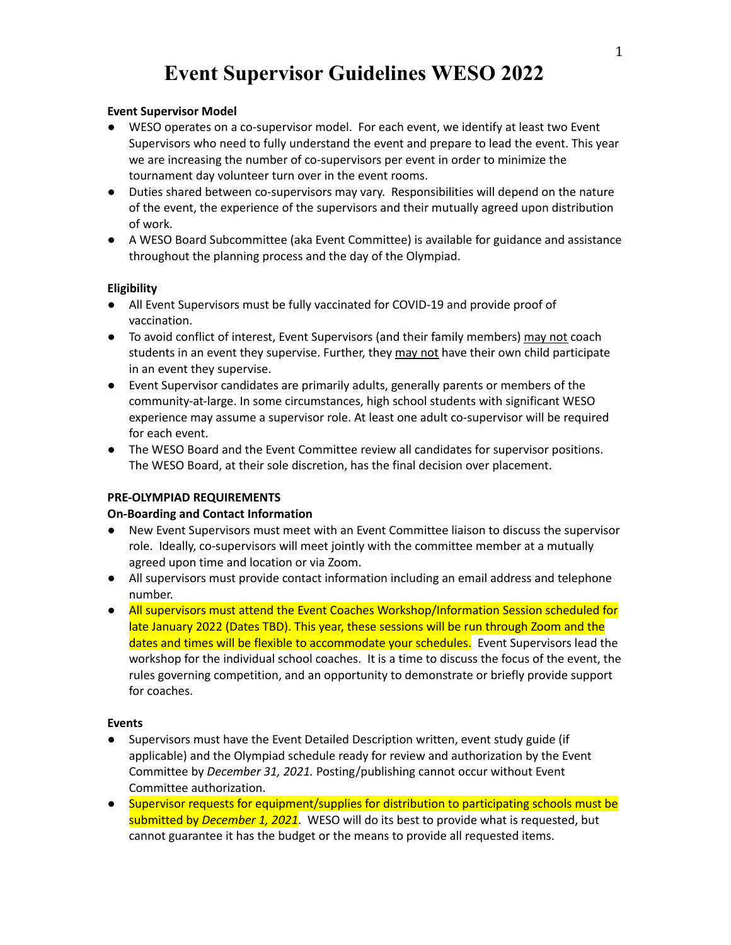# **Event Supervisor Model**

- **●** WESO operates on a co-supervisor model. For each event, we identify at least two Event Supervisors who need to fully understand the event and prepare to lead the event. This year we are increasing the number of co-supervisors per event in order to minimize the tournament day volunteer turn over in the event rooms.
- **●** Duties shared between co-supervisors may vary. Responsibilities will depend on the nature of the event, the experience of the supervisors and their mutually agreed upon distribution of work.
- **●** A WESO Board Subcommittee (aka Event Committee) is available for guidance and assistance throughout the planning process and the day of the Olympiad.

# **Eligibility**

- All Event Supervisors must be fully vaccinated for COVID-19 and provide proof of vaccination.
- To avoid conflict of interest, Event Supervisors (and their family members) may not coach students in an event they supervise. Further, they may not have their own child participate in an event they supervise.
- Event Supervisor candidates are primarily adults, generally parents or members of the community-at-large. In some circumstances, high school students with significant WESO experience may assume a supervisor role. At least one adult co-supervisor will be required for each event.
- The WESO Board and the Event Committee review all candidates for supervisor positions. The WESO Board, at their sole discretion, has the final decision over placement.

# **PRE-OLYMPIAD REQUIREMENTS**

# **On-Boarding and Contact Information**

- New Event Supervisors must meet with an Event Committee liaison to discuss the supervisor role. Ideally, co-supervisors will meet jointly with the committee member at a mutually agreed upon time and location or via Zoom.
- All supervisors must provide contact information including an email address and telephone number.
- All supervisors must attend the Event Coaches Workshop/Information Session scheduled for late January 2022 (Dates TBD). This year, these sessions will be run through Zoom and the dates and times will be flexible to accommodate your schedules. Event Supervisors lead the workshop for the individual school coaches. It is a time to discuss the focus of the event, the rules governing competition, and an opportunity to demonstrate or briefly provide support for coaches.

# **Events**

- Supervisors must have the Event Detailed Description written, event study guide (if applicable) and the Olympiad schedule ready for review and authorization by the Event Committee by *December 31, 2021.* Posting/publishing cannot occur without Event Committee authorization.
- Supervisor requests for equipment/supplies for distribution to participating schools must be submitted by *December 1, 2021*. WESO will do its best to provide what is requested, but cannot guarantee it has the budget or the means to provide all requested items.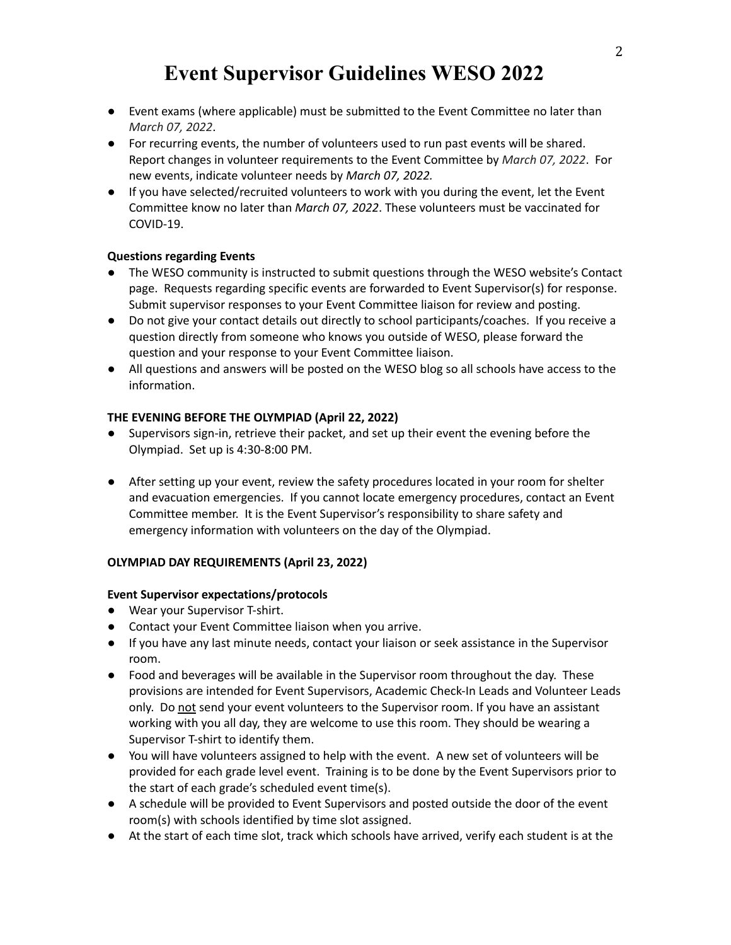- Event exams (where applicable) must be submitted to the Event Committee no later than *March 07, 2022*.
- For recurring events, the number of volunteers used to run past events will be shared. Report changes in volunteer requirements to the Event Committee by *March 07, 2022*. For new events, indicate volunteer needs by *March 07, 2022.*
- **●** If you have selected/recruited volunteers to work with you during the event, let the Event Committee know no later than *March 07, 2022*. These volunteers must be vaccinated for COVID-19.

# **Questions regarding Events**

- The WESO community is instructed to submit questions through the WESO website's Contact page. Requests regarding specific events are forwarded to Event Supervisor(s) for response. Submit supervisor responses to your Event Committee liaison for review and posting.
- Do not give your contact details out directly to school participants/coaches. If you receive a question directly from someone who knows you outside of WESO, please forward the question and your response to your Event Committee liaison.
- All questions and answers will be posted on the WESO blog so all schools have access to the information.

# **THE EVENING BEFORE THE OLYMPIAD (April 22, 2022)**

- Supervisors sign-in, retrieve their packet, and set up their event the evening before the Olympiad. Set up is 4:30-8:00 PM.
- After setting up your event, review the safety procedures located in your room for shelter and evacuation emergencies. If you cannot locate emergency procedures, contact an Event Committee member. It is the Event Supervisor's responsibility to share safety and emergency information with volunteers on the day of the Olympiad.

# **OLYMPIAD DAY REQUIREMENTS (April 23, 2022)**

# **Event Supervisor expectations/protocols**

- Wear your Supervisor T-shirt.
- Contact your Event Committee liaison when you arrive.
- If you have any last minute needs, contact your liaison or seek assistance in the Supervisor room.
- Food and beverages will be available in the Supervisor room throughout the day. These provisions are intended for Event Supervisors, Academic Check-In Leads and Volunteer Leads only. Do not send your event volunteers to the Supervisor room. If you have an assistant working with you all day, they are welcome to use this room. They should be wearing a Supervisor T-shirt to identify them.
- You will have volunteers assigned to help with the event. A new set of volunteers will be provided for each grade level event. Training is to be done by the Event Supervisors prior to the start of each grade's scheduled event time(s).
- A schedule will be provided to Event Supervisors and posted outside the door of the event room(s) with schools identified by time slot assigned.
- At the start of each time slot, track which schools have arrived, verify each student is at the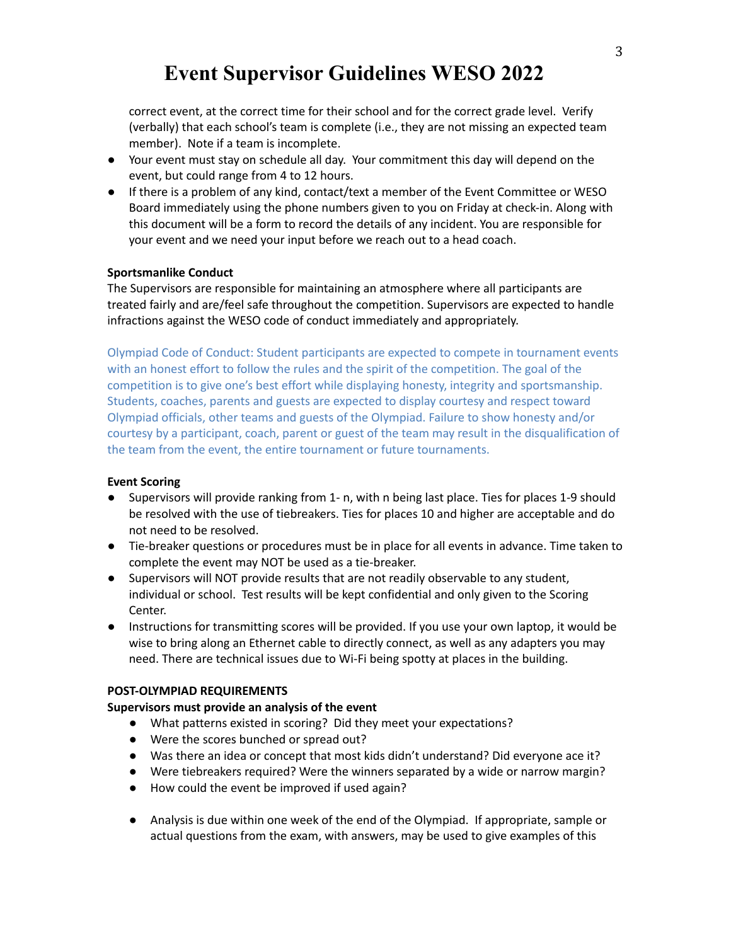correct event, at the correct time for their school and for the correct grade level. Verify (verbally) that each school's team is complete (i.e., they are not missing an expected team member). Note if a team is incomplete.

- Your event must stay on schedule all day. Your commitment this day will depend on the event, but could range from 4 to 12 hours.
- If there is a problem of any kind, contact/text a member of the Event Committee or WESO Board immediately using the phone numbers given to you on Friday at check-in. Along with this document will be a form to record the details of any incident. You are responsible for your event and we need your input before we reach out to a head coach.

### **Sportsmanlike Conduct**

The Supervisors are responsible for maintaining an atmosphere where all participants are treated fairly and are/feel safe throughout the competition. Supervisors are expected to handle infractions against the WESO code of conduct immediately and appropriately.

Olympiad Code of Conduct: Student participants are expected to compete in tournament events with an honest effort to follow the rules and the spirit of the competition. The goal of the competition is to give one's best effort while displaying honesty, integrity and sportsmanship. Students, coaches, parents and guests are expected to display courtesy and respect toward Olympiad officials, other teams and guests of the Olympiad. Failure to show honesty and/or courtesy by a participant, coach, parent or guest of the team may result in the disqualification of the team from the event, the entire tournament or future tournaments.

### **Event Scoring**

- Supervisors will provide ranking from 1- n, with n being last place. Ties for places 1-9 should be resolved with the use of tiebreakers. Ties for places 10 and higher are acceptable and do not need to be resolved.
- Tie-breaker questions or procedures must be in place for all events in advance. Time taken to complete the event may NOT be used as a tie-breaker.
- Supervisors will NOT provide results that are not readily observable to any student, individual or school. Test results will be kept confidential and only given to the Scoring Center.
- Instructions for transmitting scores will be provided. If you use your own laptop, it would be wise to bring along an Ethernet cable to directly connect, as well as any adapters you may need. There are technical issues due to Wi-Fi being spotty at places in the building.

### **POST-OLYMPIAD REQUIREMENTS**

### **Supervisors must provide an analysis of the event**

- What patterns existed in scoring? Did they meet your expectations?
- Were the scores bunched or spread out?
- Was there an idea or concept that most kids didn't understand? Did everyone ace it?
- Were tiebreakers required? Were the winners separated by a wide or narrow margin?
- How could the event be improved if used again?
- Analysis is due within one week of the end of the Olympiad. If appropriate, sample or actual questions from the exam, with answers, may be used to give examples of this